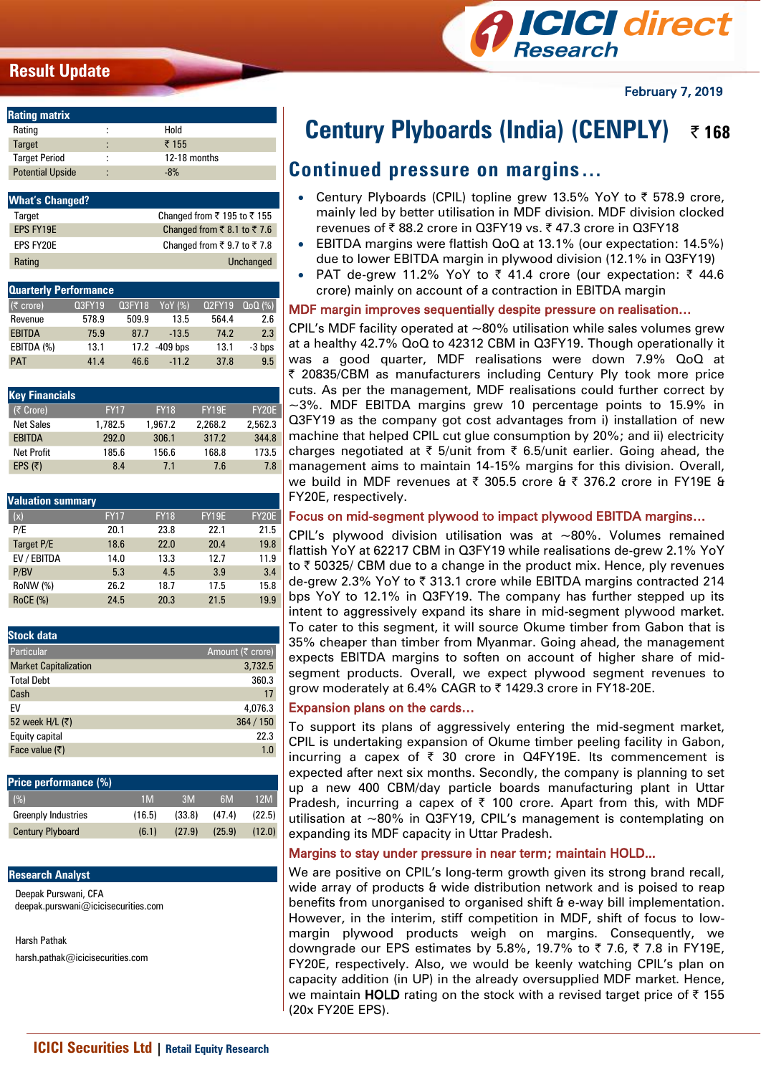## **Result Update**



February 7, 2019

| <b>Rating matrix</b>    |        |              |
|-------------------------|--------|--------------|
| Rating                  | ٠<br>٠ | Hold         |
| <b>Target</b>           | ٠<br>٠ | 7155         |
| <b>Target Period</b>    | ٠      | 12-18 months |
| <b>Potential Upside</b> | ٠      | $-8%$        |

| <b>What's Changed?</b> |                                                           |
|------------------------|-----------------------------------------------------------|
| Target                 | Changed from ₹ 195 to ₹ 155                               |
| EPS FY19E              | Changed from $\overline{\xi}$ 8.1 to $\overline{\xi}$ 7.6 |
| <b>FPS FY20F</b>       | Changed from ₹ 9.7 to ₹ 7.8                               |
| Rating                 | Unchanged                                                 |

| <b>Q3FY19</b> | <b>Q3FY18</b> | YoY (%)                      | <b>Q2FY19</b> | $QoQ(\%)$ |
|---------------|---------------|------------------------------|---------------|-----------|
| 578.9         | 509.9         | 13.5                         | 564.4         | 2.6       |
| 75.9          | 87.7          | $-13.5$                      | 74.2          | 2.3       |
| 13.1          |               |                              | 13.1          | -3 bps    |
| 41.4          | 46.6          | $-11.2$                      | 37.8          | 9.5       |
|               |               | <b>Quarterly Performance</b> | 17.2 -409 bps |           |

| <b>Key Financials</b> |             |                |         |         |
|-----------------------|-------------|----------------|---------|---------|
| (₹ Crore)             | <b>FY17</b> | <b>FY18</b>    | FY19E   | FY20E   |
| <b>Net Sales</b>      | 1.782.5     | 1.967.2        | 2.268.2 | 2.562.3 |
| <b>EBITDA</b>         | 292.0       | 306.1          | 317.2   | 344.8   |
| <b>Net Profit</b>     | 185.6       | 156.6          | 168.8   | 173.5   |
| EPS $(5)$             | 8.4         | 7 <sub>1</sub> | 7.6     | 7.8     |

| <b>Valuation summary</b> |             |             |              |              |
|--------------------------|-------------|-------------|--------------|--------------|
| (x)                      | <b>FY17</b> | <b>FY18</b> | <b>FY19E</b> | <b>FY20E</b> |
| P/E                      | 20.1        | 23.8        | 22.1         | 21.5         |
| Target P/E               | 18.6        | 22.0        | 20.4         | 19.8         |
| EV / EBITDA              | 14.0        | 13.3        | 12.7         | 11.9         |
| P/BV                     | 5.3         | 4.5         | 3.9          | 3.4          |
| RoNW (%)                 | 26.2        | 18.7        | 17.5         | 15.8         |
| <b>RoCE (%)</b>          | 24.5        | 20.3        | 21.5         | 19.9         |

| <b>Stock data</b>            |                  |
|------------------------------|------------------|
| Particular                   | Amount (₹ crore) |
| <b>Market Capitalization</b> | 3,732.5          |
| <b>Total Debt</b>            | 360.3            |
| Cash                         | 17               |
| EV                           | 4,076.3          |
| 52 week H/L (₹)              | 364/150          |
| Equity capital               | 22.3             |
| Face value $(5)$             | 1.0              |

| Price performance (%)      |        |        |        |        |
|----------------------------|--------|--------|--------|--------|
| (%)                        | 1M     | 3M     | 6M     | 12M    |
| <b>Greenply Industries</b> | (16.5) | (33.8) | (47.4) | (22.5) |
| <b>Century Plyboard</b>    | (6.1)  | (27.9) | (25.9) | (12.0) |
|                            |        |        |        |        |

#### **Research Analyst**

Deepak Purswani, CFA deepak.purswani@icicisecurities.com

Harsh Pathak

harsh.pathak@icicisecurities.com

# **Century Plyboards (India) (CENPLY)** ₹168

# **Continued pressure on margins…**

- Century Plyboards (CPIL) topline grew 13.5% YoY to  $\bar{\tau}$  578.9 crore, mainly led by better utilisation in MDF division. MDF division clocked revenues of ₹88.2 crore in Q3FY19 vs. ₹47.3 crore in Q3FY18
- EBITDA margins were flattish QoQ at 13.1% (our expectation: 14.5%) due to lower EBITDA margin in plywood division (12.1% in Q3FY19)
- PAT de-grew 11.2% YoY to  $\bar{\tau}$  41.4 crore (our expectation:  $\bar{\tau}$  44.6 crore) mainly on account of a contraction in EBITDA margin

## MDF margin improves sequentially despite pressure on realisation…

CPIL's MDF facility operated at  $\sim$ 80% utilisation while sales volumes grew at a healthy 42.7% QoQ to 42312 CBM in Q3FY19. Though operationally it was a good quarter, MDF realisations were down 7.9% QoQ at | 20835/CBM as manufacturers including Century Ply took more price cuts. As per the management, MDF realisations could further correct by  $\sim$ 3%. MDF EBITDA margins grew 10 percentage points to 15.9% in Q3FY19 as the company got cost advantages from i) installation of new machine that helped CPIL cut glue consumption by 20%; and ii) electricity charges negotiated at  $\bar{\tau}$  5/unit from  $\bar{\tau}$  6.5/unit earlier. Going ahead, the management aims to maintain 14-15% margins for this division. Overall, we build in MDF revenues at ₹ 305.5 crore & ₹ 376.2 crore in FY19E & FY20E, respectively.

### Focus on mid-segment plywood to impact plywood EBITDA margins…

CPIL's plywood division utilisation was at  $\sim$ 80%. Volumes remained flattish YoY at 62217 CBM in Q3FY19 while realisations de-grew 2.1% YoY to  $\bar{\tau}$  50325/ CBM due to a change in the product mix. Hence, ply revenues de-grew 2.3% YoY to ₹ 313.1 crore while EBITDA margins contracted 214 bps YoY to 12.1% in Q3FY19. The company has further stepped up its intent to aggressively expand its share in mid-segment plywood market. To cater to this segment, it will source Okume timber from Gabon that is 35% cheaper than timber from Myanmar. Going ahead, the management expects EBITDA margins to soften on account of higher share of midsegment products. Overall, we expect plywood segment revenues to grow moderately at 6.4% CAGR to ₹1429.3 crore in FY18-20E.

## Expansion plans on the cards…

To support its plans of aggressively entering the mid-segment market, CPIL is undertaking expansion of Okume timber peeling facility in Gabon, incurring a capex of  $\bar{\tau}$  30 crore in Q4FY19E. Its commencement is expected after next six months. Secondly, the company is planning to set up a new 400 CBM/day particle boards manufacturing plant in Uttar Pradesh, incurring a capex of  $\bar{\tau}$  100 crore. Apart from this, with MDF utilisation at  $\sim$ 80% in Q3FY19, CPIL's management is contemplating on expanding its MDF capacity in Uttar Pradesh.

## Margins to stay under pressure in near term; maintain HOLD...

We are positive on CPIL's long-term growth given its strong brand recall, wide array of products & wide distribution network and is poised to reap benefits from unorganised to organised shift & e-way bill implementation. However, in the interim, stiff competition in MDF, shift of focus to lowmargin plywood products weigh on margins. Consequently, we downgrade our EPS estimates by 5.8%, 19.7% to  $\bar{\tau}$  7.6,  $\bar{\tau}$  7.8 in FY19E, FY20E, respectively. Also, we would be keenly watching CPIL's plan on capacity addition (in UP) in the already oversupplied MDF market. Hence, we maintain **HOLD** rating on the stock with a revised target price of  $\bar{\tau}$  155 (20x FY20E EPS).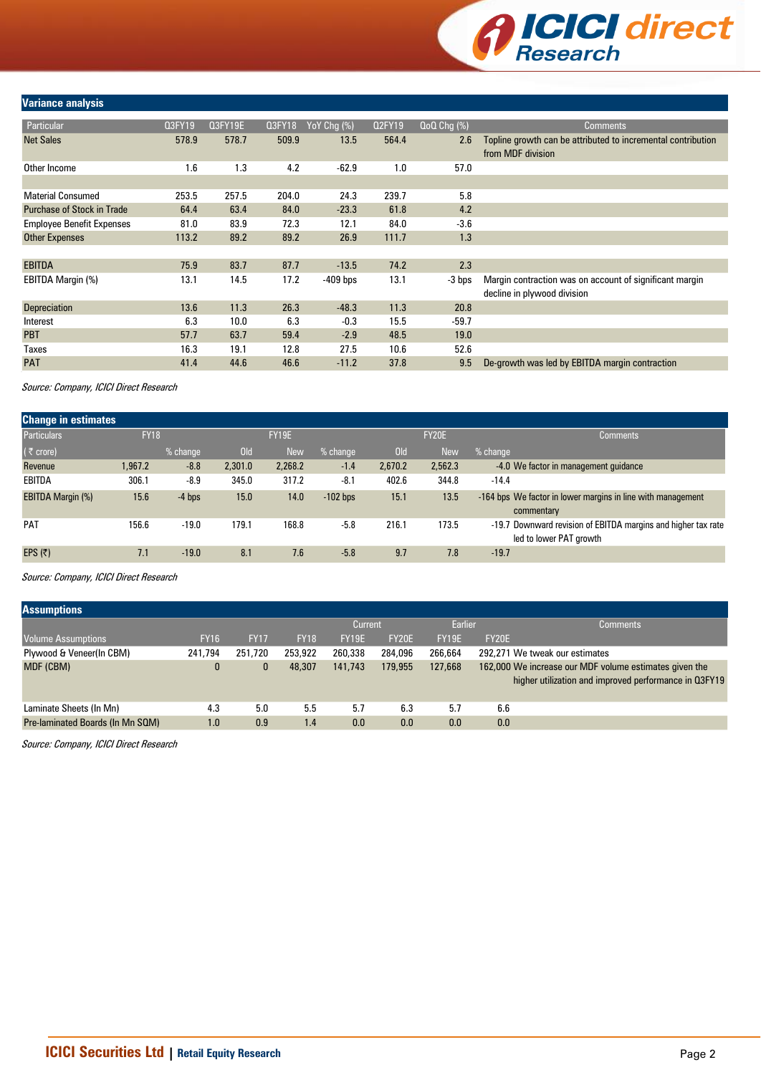

#### **Variance analysis**

| Particular                        | Q3FY19 | <b>Q3FY19E</b> | Q3FY18 | YoY Chg (%) | <b>Q2FY19</b> | $QoQ$ Chg $(\%)$ | <b>Comments</b>                                              |
|-----------------------------------|--------|----------------|--------|-------------|---------------|------------------|--------------------------------------------------------------|
| <b>Net Sales</b>                  | 578.9  | 578.7          | 509.9  | 13.5        | 564.4         | 2.6              | Topline growth can be attributed to incremental contribution |
|                                   |        |                |        |             |               |                  | from MDF division                                            |
| Other Income                      | 1.6    | 1.3            | 4.2    | $-62.9$     | 1.0           | 57.0             |                                                              |
|                                   |        |                |        |             |               |                  |                                                              |
| <b>Material Consumed</b>          | 253.5  | 257.5          | 204.0  | 24.3        | 239.7         | 5.8              |                                                              |
| <b>Purchase of Stock in Trade</b> | 64.4   | 63.4           | 84.0   | $-23.3$     | 61.8          | 4.2              |                                                              |
| <b>Employee Benefit Expenses</b>  | 81.0   | 83.9           | 72.3   | 12.1        | 84.0          | $-3.6$           |                                                              |
| Other Expenses                    | 113.2  | 89.2           | 89.2   | 26.9        | 111.7         | 1.3              |                                                              |
|                                   |        |                |        |             |               |                  |                                                              |
| <b>EBITDA</b>                     | 75.9   | 83.7           | 87.7   | $-13.5$     | 74.2          | 2.3              |                                                              |
| EBITDA Margin (%)                 | 13.1   | 14.5           | 17.2   | $-409$ bps  | 13.1          | -3 bps           | Margin contraction was on account of significant margin      |
|                                   |        |                |        |             |               |                  | decline in plywood division                                  |
| <b>Depreciation</b>               | 13.6   | 11.3           | 26.3   | $-48.3$     | 11.3          | 20.8             |                                                              |
| Interest                          | 6.3    | 10.0           | 6.3    | $-0.3$      | 15.5          | $-59.7$          |                                                              |
| <b>PBT</b>                        | 57.7   | 63.7           | 59.4   | $-2.9$      | 48.5          | 19.0             |                                                              |
| Taxes                             | 16.3   | 19.1           | 12.8   | 27.5        | 10.6          | 52.6             |                                                              |
| <b>PAT</b>                        | 41.4   | 44.6           | 46.6   | $-11.2$     | 37.8          | 9.5              | De-growth was led by EBITDA margin contraction               |

Source: Company, ICICI Direct Research

| <b>Change in estimates</b> |             |          |            |              |            |            |            |                                                                                          |
|----------------------------|-------------|----------|------------|--------------|------------|------------|------------|------------------------------------------------------------------------------------------|
| <b>Particulars</b>         | <b>FY18</b> |          |            | <b>FY19E</b> |            |            | FY20E      | Comments                                                                                 |
| $(5$ crore)                |             | % change | <b>Old</b> | <b>New</b>   | $%$ change | <b>Old</b> | <b>New</b> | $%$ change                                                                               |
| Revenue                    | 1,967.2     | $-8.8$   | 2,301.0    | 2,268.2      | $-1.4$     | 2.670.2    | 2,562.3    | -4.0 We factor in management guidance                                                    |
| EBITDA                     | 306.1       | $-8.9$   | 345.0      | 317.2        | $-8.1$     | 402.6      | 344.8      | $-14.4$                                                                                  |
| <b>EBITDA Margin (%)</b>   | 15.6        | $-4$ bps | 15.0       | 14.0         | $-102$ bps | 15.1       | 13.5       | -164 bps We factor in lower margins in line with management<br>commentary                |
| <b>PAT</b>                 | 156.6       | $-19.0$  | 179.1      | 168.8        | $-5.8$     | 216.1      | 173.5      | -19.7 Downward revision of EBITDA margins and higher tax rate<br>led to lower PAT growth |
| EPS $(5)$                  | 7.1         | $-19.0$  | 8.1        | 7.6          | $-5.8$     | 9.7        | 7.8        | $-19.7$                                                                                  |

Source: Company, ICICI Direct Research

| <b>Assumptions</b>               |              |             |             |         |                    |              |       |                                                        |
|----------------------------------|--------------|-------------|-------------|---------|--------------------|--------------|-------|--------------------------------------------------------|
|                                  |              |             |             |         | Earlier<br>Current |              |       | <b>Comments</b>                                        |
| <b>Volume Assumptions</b>        | <b>FY16</b>  | <b>FY17</b> | <b>FY18</b> | FY19E   | FY20E              | <b>FY19E</b> | FY20E |                                                        |
| Plywood & Veneer(In CBM)         | 241,794      | 251,720     | 253,922     | 260,338 | 284,096            | 266,664      |       | 292.271 We tweak our estimates                         |
| MDF (CBM)                        | $\mathbf{0}$ |             | 48,307      | 141,743 | 179,955            | 127,668      |       | 162,000 We increase our MDF volume estimates given the |
|                                  |              |             |             |         |                    |              |       | higher utilization and improved performance in Q3FY19  |
|                                  |              |             |             |         |                    |              |       |                                                        |
| Laminate Sheets (In Mn)          | 4.3          | 5.0         | 5.5         | 5.7     | 6.3                | 5.7          | 6.6   |                                                        |
| Pre-laminated Boards (In Mn SQM) | 1.0          | 0.9         | 1.4         | 0.0     | 0.0                | 0.0          | 0.0   |                                                        |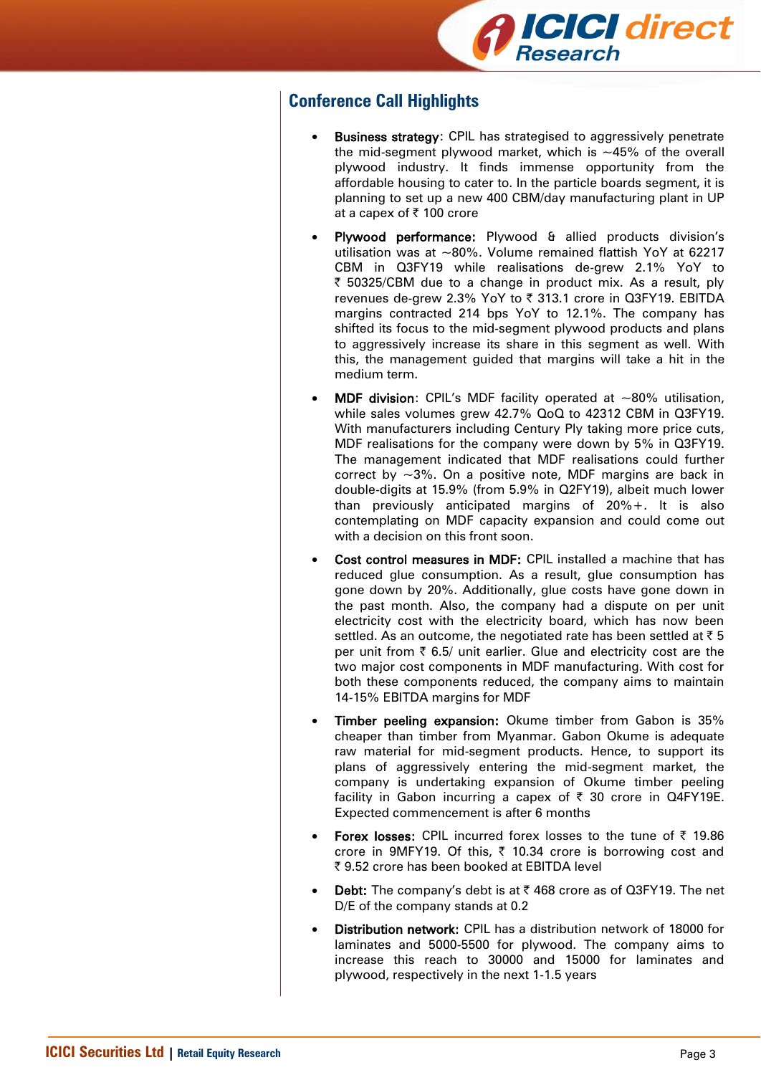

# **Conference Call Highlights**

- Business strategy: CPIL has strategised to aggressively penetrate the mid-segment plywood market, which is  $\sim$ 45% of the overall plywood industry. It finds immense opportunity from the affordable housing to cater to. In the particle boards segment, it is planning to set up a new 400 CBM/day manufacturing plant in UP at a capex of ₹ 100 crore
- Plywood performance: Plywood & allied products division's utilisation was at ~80%. Volume remained flattish YoY at 62217 CBM in Q3FY19 while realisations de-grew 2.1% YoY to ₹ 50325/CBM due to a change in product mix. As a result, ply revenues de-grew 2.3% YoY to ₹ 313.1 crore in Q3FY19. EBITDA margins contracted 214 bps YoY to 12.1%. The company has shifted its focus to the mid-segment plywood products and plans to aggressively increase its share in this segment as well. With this, the management guided that margins will take a hit in the medium term.
- **MDF division:** CPIL's MDF facility operated at  $\sim$ 80% utilisation, while sales volumes grew 42.7% QoQ to 42312 CBM in Q3FY19. With manufacturers including Century Ply taking more price cuts, MDF realisations for the company were down by 5% in Q3FY19. The management indicated that MDF realisations could further correct by  $\sim$ 3%. On a positive note, MDF margins are back in double-digits at 15.9% (from 5.9% in Q2FY19), albeit much lower than previously anticipated margins of 20%+. It is also contemplating on MDF capacity expansion and could come out with a decision on this front soon.
- Cost control measures in MDF: CPIL installed a machine that has reduced glue consumption. As a result, glue consumption has gone down by 20%. Additionally, glue costs have gone down in the past month. Also, the company had a dispute on per unit electricity cost with the electricity board, which has now been settled. As an outcome, the negotiated rate has been settled at  $\bar{z}$  5 per unit from  $\bar{\tau}$  6.5/ unit earlier. Glue and electricity cost are the two major cost components in MDF manufacturing. With cost for both these components reduced, the company aims to maintain 14-15% EBITDA margins for MDF
- Timber peeling expansion: Okume timber from Gabon is 35% cheaper than timber from Myanmar. Gabon Okume is adequate raw material for mid-segment products. Hence, to support its plans of aggressively entering the mid-segment market, the company is undertaking expansion of Okume timber peeling facility in Gabon incurring a capex of  $\bar{\tau}$  30 crore in Q4FY19E. Expected commencement is after 6 months
- Forex losses: CPIL incurred forex losses to the tune of  $\bar{\tau}$  19.86 crore in 9MFY19. Of this,  $\bar{\tau}$  10.34 crore is borrowing cost and ₹ 9.52 crore has been booked at EBITDA level
- **Debt:** The company's debt is at ₹468 crore as of Q3FY19. The net D/E of the company stands at 0.2
- Distribution network: CPIL has a distribution network of 18000 for laminates and 5000-5500 for plywood. The company aims to increase this reach to 30000 and 15000 for laminates and plywood, respectively in the next 1-1.5 years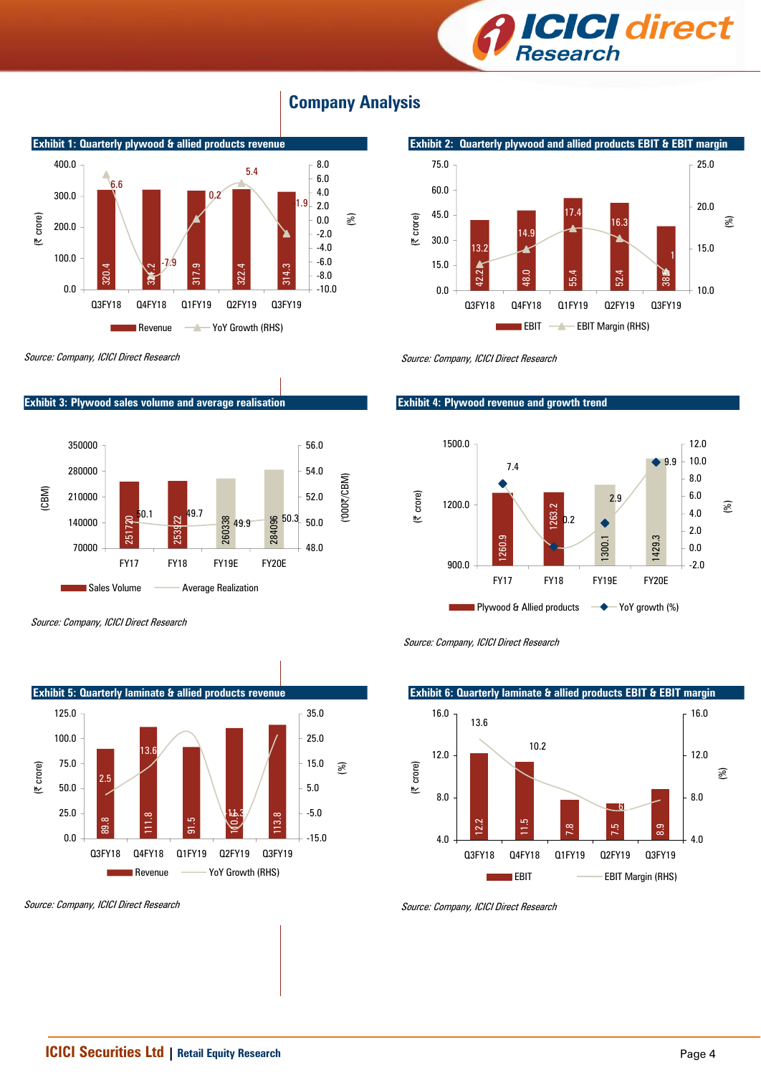



# **Company Analysis**



Source: Company, ICICI Direct Research

**Exhibit 3: Plywood sales volume and average realisation**



Source: Company, ICICI Direct Research



Source: Company, ICICI Direct Research

Source: Company, ICICI Direct Research

#### **Exhibit 4: Plywood revenue and growth trend**





#### **Exhibit 6: Quarterly laminate & allied products EBIT & EBIT margin**  $\frac{1}{2}$ 11.5 7.8 7.5  $8.9$   $\phantom{0}$  $6.8$ 10.2 13.6 4.0 8.0 12.0 16.0 Q3FY18 Q4FY18 Q1FY19 Q2FY19 Q3FY19 (| crore) 4.0 8.0 12.0 16.0 (%) EBIT **EBIT Margin (RHS)**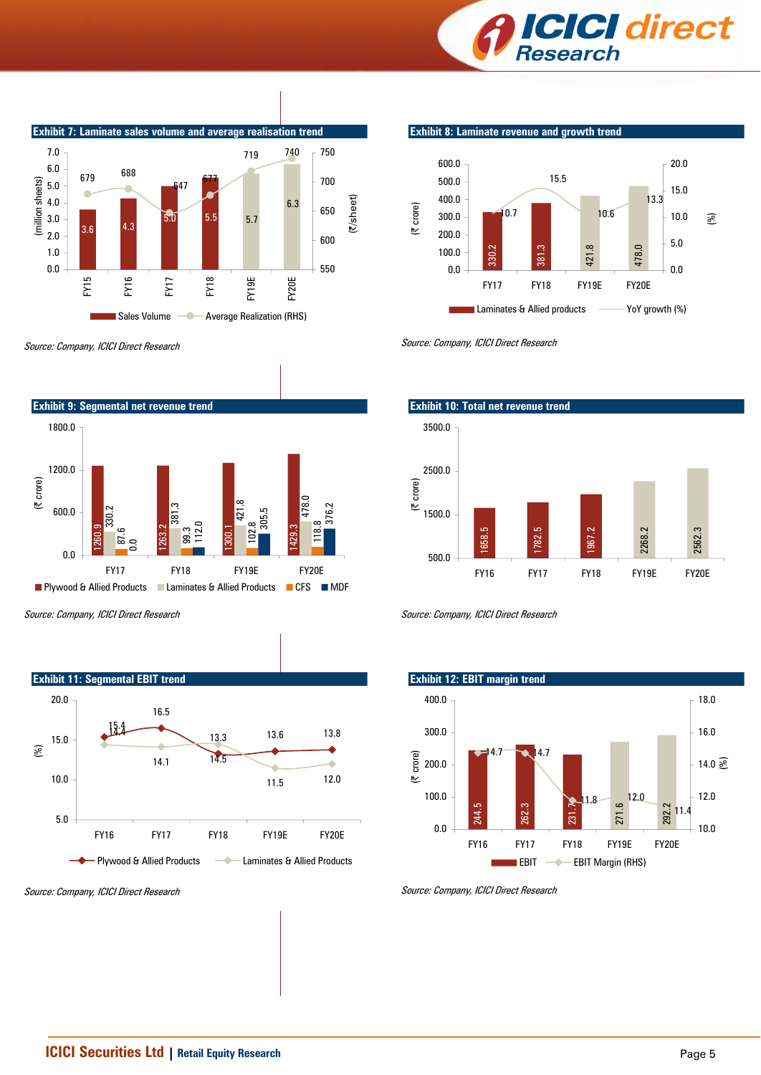



Source: Company, ICICI Direct Research





Source: Company, ICICI Direct Research

**Exhibit 8: Laminate revenue and growth trend**



Source: Company, ICICI Direct Research



Source: Company, ICICI Direct Research



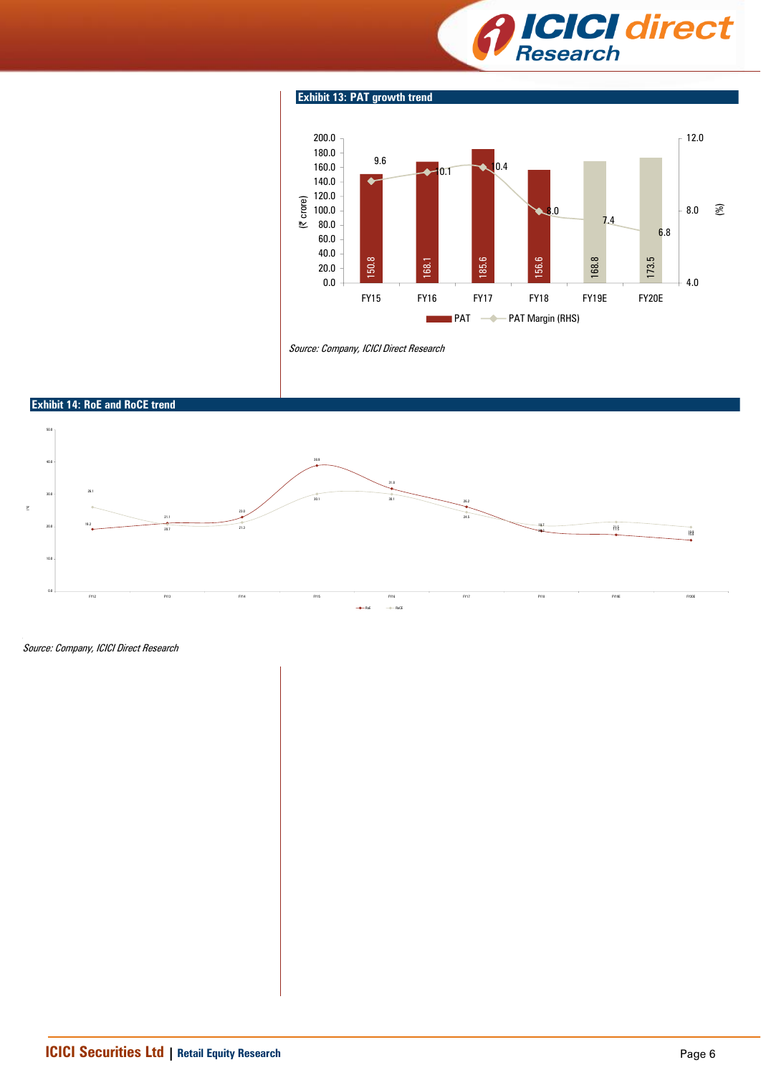

#### **Exhibit 13: PAT growth trend**



Source: Company, ICICI Direct Research

#### **Exhibit 14: RoE and RoCE trend**

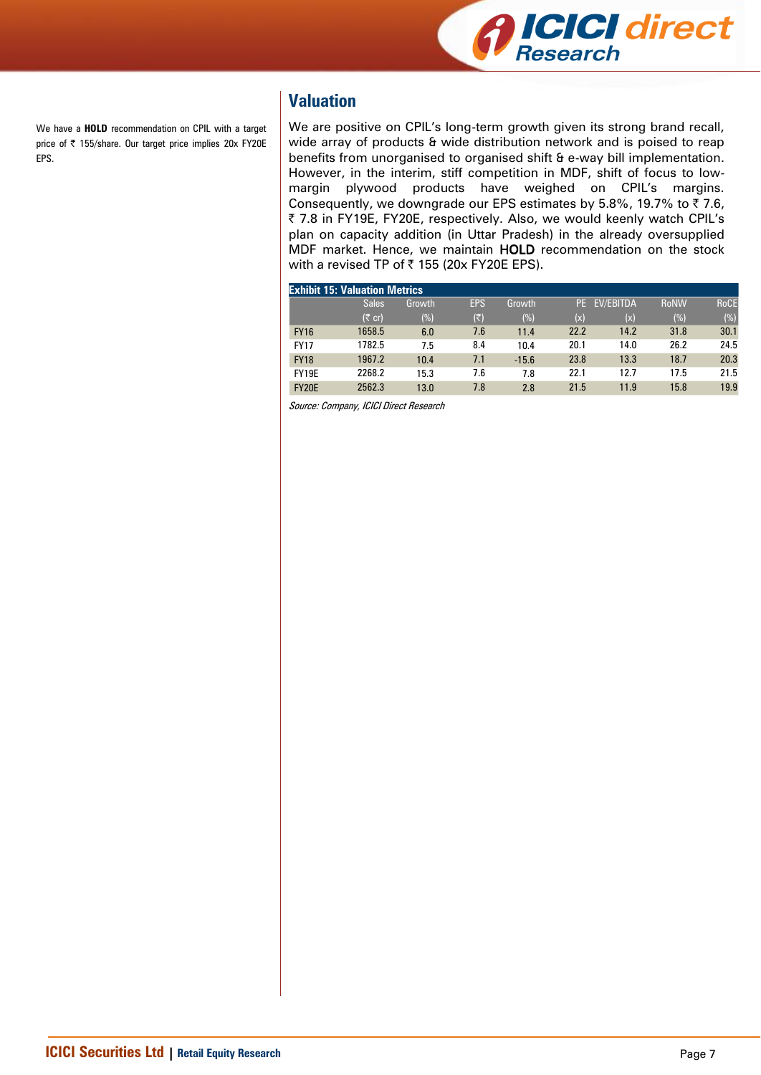

We have a **HOLD** recommendation on CPIL with a target price of ₹ 155/share. Our target price implies 20x FY20E EPS.

# **Valuation**

We are positive on CPIL's long-term growth given its strong brand recall, wide array of products & wide distribution network and is poised to reap benefits from unorganised to organised shift & e-way bill implementation. However, in the interim, stiff competition in MDF, shift of focus to lowmargin plywood products have weighed on CPIL's margins. Consequently, we downgrade our EPS estimates by 5.8%, 19.7% to  $\bar{z}$  7.6, | 7.8 in FY19E, FY20E, respectively. Also, we would keenly watch CPIL's plan on capacity addition (in Uttar Pradesh) in the already oversupplied MDF market. Hence, we maintain HOLD recommendation on the stock with a revised TP of  $\bar{\tau}$  155 (20x FY20E EPS).

|              | <b>Exhibit 15: Valuation Metrics</b> |        |                           |         |      |                  |             |             |
|--------------|--------------------------------------|--------|---------------------------|---------|------|------------------|-------------|-------------|
|              | <b>Sales</b>                         | Growth | <b>EPS</b>                | Growth  | PE.  | <b>EV/EBITDA</b> | <b>RoNW</b> | <b>RoCE</b> |
|              | $(5 \text{ cr})$                     | (%)    | $(\overline{\mathbf{x}})$ | (%)     | (x)  | (x)              | (%)         | (%)         |
| <b>FY16</b>  | 1658.5                               | 6.0    | 7.6                       | 11.4    | 22.2 | 14.2             | 31.8        | 30.1        |
| <b>FY17</b>  | 1782.5                               | 7.5    | 8.4                       | 10.4    | 20.1 | 14.0             | 26.2        | 24.5        |
| <b>FY18</b>  | 1967.2                               | 10.4   | 7.1                       | $-15.6$ | 23.8 | 13.3             | 18.7        | 20.3        |
| FY19E        | 2268.2                               | 15.3   | 7.6                       | 7.8     | 22.1 | 12.7             | 17.5        | 21.5        |
| <b>FY20E</b> | 2562.3                               | 13.0   | 7.8                       | 2.8     | 21.5 | 11.9             | 15.8        | 19.9        |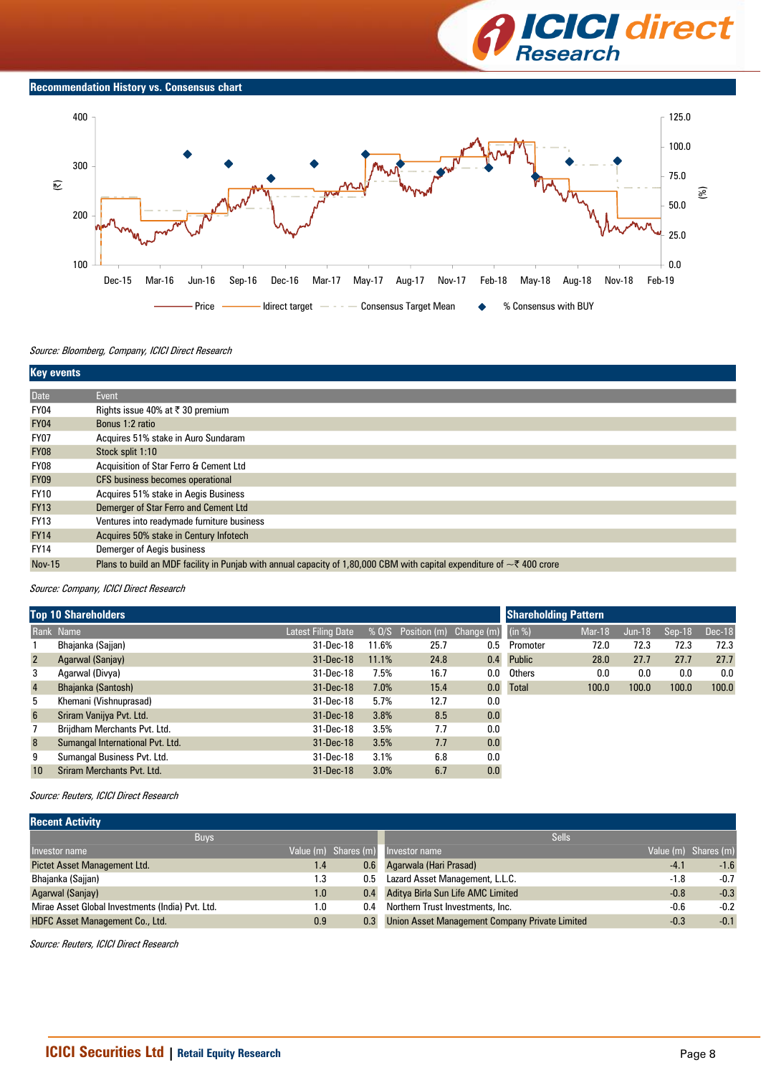

#### **Recommendation History vs. Consensus chart**



#### Source: Bloomberg, Company, ICICI Direct Research

| <b>Key events</b> |                                                                                                                                       |
|-------------------|---------------------------------------------------------------------------------------------------------------------------------------|
| Date              | Event                                                                                                                                 |
| FY04              | Rights issue 40% at ₹ 30 premium                                                                                                      |
| <b>FY04</b>       | Bonus 1:2 ratio                                                                                                                       |
| <b>FY07</b>       | Acquires 51% stake in Auro Sundaram                                                                                                   |
| <b>FY08</b>       | Stock split 1:10                                                                                                                      |
| FY08              | Acquisition of Star Ferro & Cement Ltd                                                                                                |
| <b>FY09</b>       | CFS business becomes operational                                                                                                      |
| <b>FY10</b>       | Acquires 51% stake in Aegis Business                                                                                                  |
| <b>FY13</b>       | Demerger of Star Ferro and Cement Ltd                                                                                                 |
| <b>FY13</b>       | Ventures into readymade furniture business                                                                                            |
| <b>FY14</b>       | Acquires 50% stake in Century Infotech                                                                                                |
| <b>FY14</b>       | Demerger of Aegis business                                                                                                            |
| <b>Nov-15</b>     | Plans to build an MDF facility in Punjab with annual capacity of 1,80,000 CBM with capital expenditure of $\sim\bar{\zeta}$ 400 crore |

#### Source: Company, ICICI Direct Research

|                 | <b>Top 10 Shareholders</b>       | <b>Shareholding Pattern</b> |       |                               |     |               |               |          |                     |               |
|-----------------|----------------------------------|-----------------------------|-------|-------------------------------|-----|---------------|---------------|----------|---------------------|---------------|
|                 | Rank Name                        | <b>Latest Filing Date</b>   |       | % 0/S Position (m) Change (m) |     | (in %)        | <b>Mar-18</b> | $Jun-18$ | $\textsf{Sep-18}^+$ | <b>Dec-18</b> |
|                 | Bhajanka (Sajjan)                | 31-Dec-18                   | 11.6% | 25.7                          | 0.5 | Promoter      | 72.0          | 72.3     | 72.3                | 72.3          |
| $\overline{2}$  | Agarwal (Sanjay)                 | 31-Dec-18                   | 11.1% | 24.8                          | 0.4 | <b>Public</b> | 28.0          | 27.7     | 27.7                | 27.7          |
| 3               | Agarwal (Divya)                  | 31-Dec-18                   | 7.5%  | 16.7                          | 0.0 | Others        | 0.0           | 0.0      | 0.0                 | 0.0           |
| $\overline{4}$  | Bhajanka (Santosh)               | 31-Dec-18                   | 7.0%  | 15.4                          | 0.0 | <b>Total</b>  | 100.0         | 100.0    | 100.0               | 100.0         |
| 5               | Khemani (Vishnuprasad)           | 31-Dec-18                   | 5.7%  | 12.7                          | 0.0 |               |               |          |                     |               |
| $6\overline{6}$ | Sriram Vanijya Pvt. Ltd.         | 31-Dec-18                   | 3.8%  | 8.5                           | 0.0 |               |               |          |                     |               |
|                 | Brijdham Merchants Pvt. Ltd.     | 31-Dec-18                   | 3.5%  | 7.7                           | 0.0 |               |               |          |                     |               |
| 8               | Sumangal International Pvt. Ltd. | 31-Dec-18                   | 3.5%  | 7.7                           | 0.0 |               |               |          |                     |               |
| 9               | Sumangal Business Pvt. Ltd.      | 31-Dec-18                   | 3.1%  | 6.8                           | 0.0 |               |               |          |                     |               |
| 10              | Sriram Merchants Pvt. Ltd.       | 31-Dec-18                   | 3.0%  | 6.7                           | 0.0 |               |               |          |                     |               |

#### Source: Reuters, ICICI Direct Research

| <b>Recent Activity</b>                           |     |                      |                                                |        |                      |
|--------------------------------------------------|-----|----------------------|------------------------------------------------|--------|----------------------|
| <b>Buys</b>                                      |     |                      | <b>Sells</b>                                   |        |                      |
| Investor name                                    |     | Value (m) Shares (m) | Investor name                                  |        | Value (m) Shares (m) |
| Pictet Asset Management Ltd.                     | 1.4 | 0.6                  | Agarwala (Hari Prasad)                         | $-4.1$ | $-1.6$               |
| Bhajanka (Sajjan)                                | 1.3 | 0.5                  | Lazard Asset Management, L.L.C.                | $-1.8$ | $-0.7$               |
| Agarwal (Sanjay)                                 | 1.0 | 0.4                  | Aditya Birla Sun Life AMC Limited              | $-0.8$ | $-0.3$               |
| Mirae Asset Global Investments (India) Pvt. Ltd. | 1.0 | 0.4                  | Northern Trust Investments, Inc.               | $-0.6$ | $-0.2$               |
| <b>HDFC Asset Management Co., Ltd.</b>           | 0.9 | 0.3                  | Union Asset Management Company Private Limited | $-0.3$ | $-0.1$               |
|                                                  |     |                      |                                                |        |                      |

Source: Reuters, ICICI Direct Research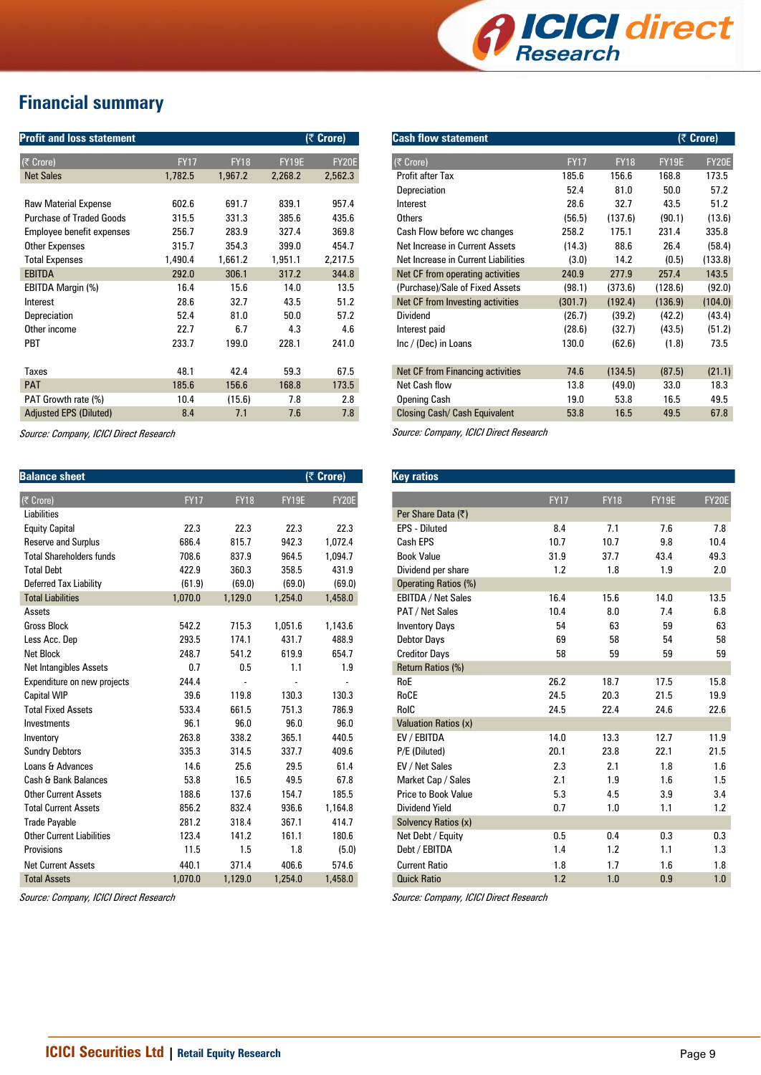

# **Financial summary**

| <b>Profit and loss statement</b> |             |             |         | $(5$ Crore)  |
|----------------------------------|-------------|-------------|---------|--------------|
| (₹ Crore)                        | <b>FY17</b> | <b>FY18</b> | FY19E   | <b>FY20E</b> |
| <b>Net Sales</b>                 | 1,782.5     | 1,967.2     | 2,268.2 | 2,562.3      |
|                                  |             |             |         |              |
| <b>Raw Material Expense</b>      | 602.6       | 691.7       | 839.1   | 957.4        |
| <b>Purchase of Traded Goods</b>  | 315.5       | 331.3       | 385.6   | 435.6        |
| Employee benefit expenses        | 256.7       | 283.9       | 327.4   | 369.8        |
| <b>Other Expenses</b>            | 315.7       | 354.3       | 399.0   | 454.7        |
| <b>Total Expenses</b>            | 1,490.4     | 1,661.2     | 1,951.1 | 2,217.5      |
| <b>EBITDA</b>                    | 292.0       | 306.1       | 317.2   | 344.8        |
| EBITDA Margin (%)                | 16.4        | 15.6        | 14.0    | 13.5         |
| Interest                         | 28.6        | 32.7        | 43.5    | 51.2         |
| Depreciation                     | 52.4        | 81.0        | 50.0    | 57.2         |
| Other income                     | 22.7        | 6.7         | 4.3     | 4.6          |
| <b>PBT</b>                       | 233.7       | 199.0       | 228.1   | 241.0        |
|                                  |             |             |         |              |
| <b>Taxes</b>                     | 48.1        | 42.4        | 59.3    | 67.5         |
| <b>PAT</b>                       | 185.6       | 156.6       | 168.8   | 173.5        |
| PAT Growth rate (%)              | 10.4        | (15.6)      | 7.8     | 2.8          |
| <b>Adjusted EPS (Diluted)</b>    | 8.4         | 7.1         | 7.6     | 7.8          |

Source: Company, ICICI Direct Research

| <b>Balance sheet</b>             |             |             |              | (₹ Crore)    |
|----------------------------------|-------------|-------------|--------------|--------------|
| (₹ Crore)                        | <b>FY17</b> | <b>FY18</b> | <b>FY19E</b> | <b>FY20E</b> |
| Liabilities                      |             |             |              |              |
| <b>Equity Capital</b>            | 22.3        | 22.3        | 22.3         | 22.3         |
| <b>Reserve and Surplus</b>       | 686.4       | 815.7       | 942.3        | 1,072.4      |
| <b>Total Shareholders funds</b>  | 708.6       | 837.9       | 964.5        | 1,094.7      |
| <b>Total Debt</b>                | 422.9       | 360.3       | 358.5        | 431.9        |
| Deferred Tax Liability           | (61.9)      | (69.0)      | (69.0)       | (69.0)       |
| <b>Total Liabilities</b>         | 1,070.0     | 1,129.0     | 1,254.0      | 1,458.0      |
| Assets                           |             |             |              |              |
| <b>Gross Block</b>               | 542.2       | 715.3       | 1,051.6      | 1,143.6      |
| Less Acc. Dep                    | 293.5       | 174.1       | 431.7        | 488.9        |
| <b>Net Block</b>                 | 248.7       | 541.2       | 619.9        | 654.7        |
| Net Intangibles Assets           | 0.7         | 0.5         | 1.1          | 1.9          |
| Expenditure on new projects      | 244.4       |             |              |              |
| <b>Capital WIP</b>               | 39.6        | 119.8       | 130.3        | 130.3        |
| <b>Total Fixed Assets</b>        | 533.4       | 661.5       | 751.3        | 786.9        |
| Investments                      | 96.1        | 96.0        | 96.0         | 96.0         |
| Inventory                        | 263.8       | 338.2       | 365.1        | 440.5        |
| <b>Sundry Debtors</b>            | 335.3       | 314.5       | 337.7        | 409.6        |
| Loans & Advances                 | 14.6        | 25.6        | 29.5         | 61.4         |
| Cash & Bank Balances             | 53.8        | 16.5        | 49.5         | 67.8         |
| <b>Other Current Assets</b>      | 188.6       | 137.6       | 154.7        | 185.5        |
| <b>Total Current Assets</b>      | 856.2       | 832.4       | 936.6        | 1,164.8      |
| <b>Trade Payable</b>             | 281.2       | 318.4       | 367.1        | 414.7        |
| <b>Other Current Liabilities</b> | 123.4       | 141.2       | 161.1        | 180.6        |
| Provisions                       | 11.5        | 1.5         | 1.8          | (5.0)        |
| <b>Net Current Assets</b>        | 440.1       | 371.4       | 406.6        | 574.6        |
| <b>Total Assets</b>              | 1,070.0     | 1.129.0     | 1.254.0      | 1,458.0      |

Source: Company, ICICI Direct Research

| <b>Cash flow statement</b>          |             |             |         | (₹ Crore) |
|-------------------------------------|-------------|-------------|---------|-----------|
| (₹ Crore)                           | <b>FY17</b> | <b>FY18</b> | FY19F   | FY20E     |
| Profit after Tax                    | 185.6       | 156.6       | 168.8   | 173.5     |
| Depreciation                        | 52.4        | 81.0        | 50.0    | 57.2      |
| Interest                            | 28.6        | 32.7        | 43.5    | 51.2      |
| Others                              | (56.5)      | (137.6)     | (90.1)  | (13.6)    |
| Cash Flow before wc changes         | 258.2       | 175.1       | 231.4   | 335.8     |
| Net Increase in Current Assets      | (14.3)      | 88.6        | 26.4    | (58.4)    |
| Net Increase in Current Liabilities | (3.0)       | 14.2        | (0.5)   | (133.8)   |
| Net CF from operating activities    | 240.9       | 277.9       | 257.4   | 143.5     |
| (Purchase)/Sale of Fixed Assets     | (98.1)      | (373.6)     | (128.6) | (92.0)    |
| Net CF from Investing activities    | (301.7)     | (192.4)     | (136.9) | (104.0)   |
| Dividend                            | (26.7)      | (39.2)      | (42.2)  | (43.4)    |
| Interest paid                       | (28.6)      | (32.7)      | (43.5)  | (51.2)    |
| Inc / (Dec) in Loans                | 130.0       | (62.6)      | (1.8)   | 73.5      |
|                                     |             |             |         |           |
| Net CF from Financing activities    | 74.6        | (134.5)     | (87.5)  | (21.1)    |
| Net Cash flow                       | 13.8        | (49.0)      | 33.0    | 18.3      |
| Opening Cash                        | 19.0        | 53.8        | 16.5    | 49.5      |
| Closing Cash/ Cash Equivalent       | 53.8        | 16.5        | 49.5    | 67.8      |
|                                     |             |             |         |           |

Source: Company, ICICI Direct Research

| <b>Key ratios</b>           |             |             |              |       |
|-----------------------------|-------------|-------------|--------------|-------|
|                             |             |             |              |       |
|                             | <b>FY17</b> | <b>FY18</b> | <b>FY19E</b> | FY20E |
| Per Share Data (₹)          |             |             |              |       |
| <b>EPS - Diluted</b>        | 8.4         | 7.1         | 7.6          | 7.8   |
| Cash EPS                    | 10.7        | 10.7        | 9.8          | 10.4  |
| <b>Book Value</b>           | 31.9        | 37.7        | 43.4         | 49.3  |
| Dividend per share          | 1.2         | 1.8         | 1.9          | 2.0   |
| Operating Ratios (%)        |             |             |              |       |
| EBITDA / Net Sales          | 16.4        | 15.6        | 14.0         | 13.5  |
| PAT / Net Sales             | 10.4        | 8.0         | 7.4          | 6.8   |
| <b>Inventory Days</b>       | 54          | 63          | 59           | 63    |
| Debtor Days                 | 69          | 58          | 54           | 58    |
| <b>Creditor Days</b>        | 58          | 59          | 59           | 59    |
| Return Ratios (%)           |             |             |              |       |
| RoE                         | 26.2        | 18.7        | 17.5         | 15.8  |
| RoCE                        | 24.5        | 20.3        | 21.5         | 19.9  |
| RoIC                        | 24.5        | 22.4        | 24.6         | 22.6  |
| <b>Valuation Ratios (x)</b> |             |             |              |       |
| EV / EBITDA                 | 14.0        | 13.3        | 12.7         | 11.9  |
| P/E (Diluted)               | 20.1        | 23.8        | 22.1         | 21.5  |
| EV / Net Sales              | 2.3         | 2.1         | 1.8          | 1.6   |
| Market Cap / Sales          | 2.1         | 1.9         | 1.6          | 1.5   |
| Price to Book Value         | 5.3         | 4.5         | 3.9          | 3.4   |
| <b>Dividend Yield</b>       | 0.7         | 1.0         | 1.1          | 1.2   |
| Solvency Ratios (x)         |             |             |              |       |
| Net Debt / Equity           | 0.5         | 0.4         | 0.3          | 0.3   |
| Debt / EBITDA               | 1.4         | 1.2         | 1.1          | 1.3   |
| <b>Current Ratio</b>        | 1.8         | 1.7         | 1.6          | 1.8   |
| <b>Quick Ratio</b>          | 1.2         | 1.0         | 0.9          | 1.0   |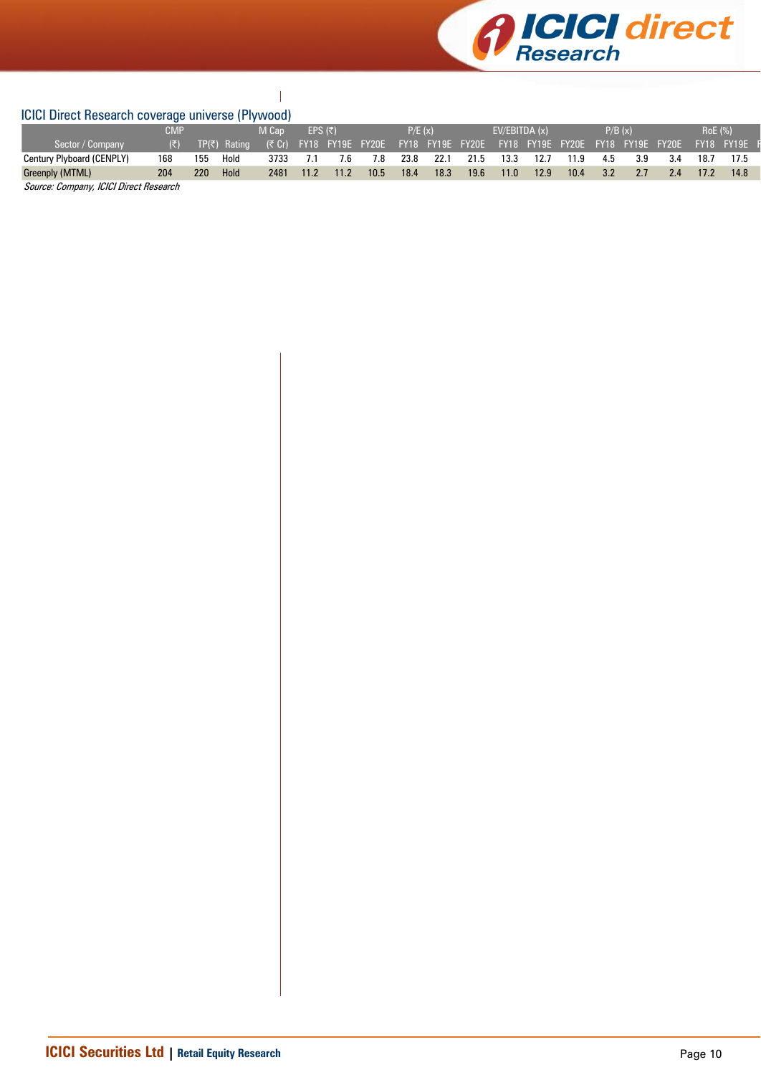

#### $\overline{\phantom{a}}$ ICICI Direct Research coverage universe (Plywood)

|                                                       | $19191$ $19190$ $11900$ $1910$ $1910$ $19100$ $1911$ $19100$ $1910$ |     |              |       |                 |      |                         |        |      |                  |               |      |                                   |     |         |     |                |                   |
|-------------------------------------------------------|---------------------------------------------------------------------|-----|--------------|-------|-----------------|------|-------------------------|--------|------|------------------|---------------|------|-----------------------------------|-----|---------|-----|----------------|-------------------|
|                                                       | CMP                                                                 |     |              | M Cap | EPS $(\bar{z})$ |      |                         | P/E(x) |      |                  | EV/EBITDA (x) |      |                                   |     | P/B (x) |     | <b>RoE</b> (%) |                   |
| Sector / Company                                      | /(₹)                                                                |     | TP(₹) Rating |       |                 |      | (そ Cr) FY18 FY19E FY20E |        |      | FY18 FY19E FY20E |               |      | FY18 FY19E FY20E FY18 FY19E FY20E |     |         |     |                | <b>FY18 FY19E</b> |
| Century Plyboard (CENPLY)                             | 168                                                                 | 155 | Hold         | 3733  | 7.1             | 7.6  | 7.8                     | 23.8   | 22.1 | 21.5             | 13.3          | 12.7 | 11.9                              | 4.5 | 3.9     | 3.4 | 18.7           |                   |
| Greenply (MTML)                                       | 204                                                                 | 220 | Hold         | 2481  | 11.2            | 11.2 | 10.5                    | 18.4   | 18.3 | 19.6             | 11.0          | 12.9 | 10.4                              | 3.2 | 2.7     | 2.4 | 17.2           | 14.8              |
| $\cdots$<br>$\sim$ $\sim$ $\sim$ $\sim$ $\sim$ $\sim$ | __                                                                  |     |              |       |                 |      |                         |        |      |                  |               |      |                                   |     |         |     |                |                   |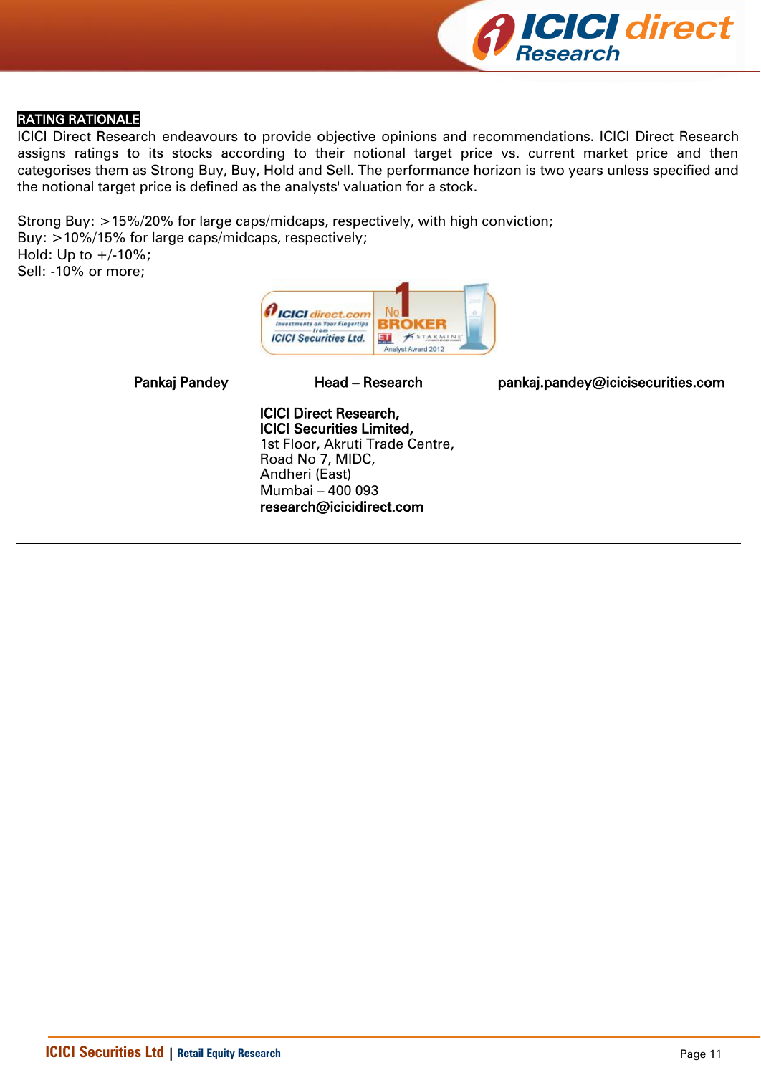

### RATING RATIONALE

ICICI Direct Research endeavours to provide objective opinions and recommendations. ICICI Direct Research assigns ratings to its stocks according to their notional target price vs. current market price and then categorises them as Strong Buy, Buy, Hold and Sell. The performance horizon is two years unless specified and the notional target price is defined as the analysts' valuation for a stock.

Strong Buy: >15%/20% for large caps/midcaps, respectively, with high conviction; Buy: >10%/15% for large caps/midcaps, respectively; Hold: Up to  $+/10%$ ; Sell: -10% or more;



Pankaj Pandey **Head – Research head pankaj.pandey@icicisecurities.com** 

ICICI Direct Research, ICICI Securities Limited, 1st Floor, Akruti Trade Centre, Road No 7, MIDC, Andheri (East) Mumbai – 400 093 research@icicidirect.com